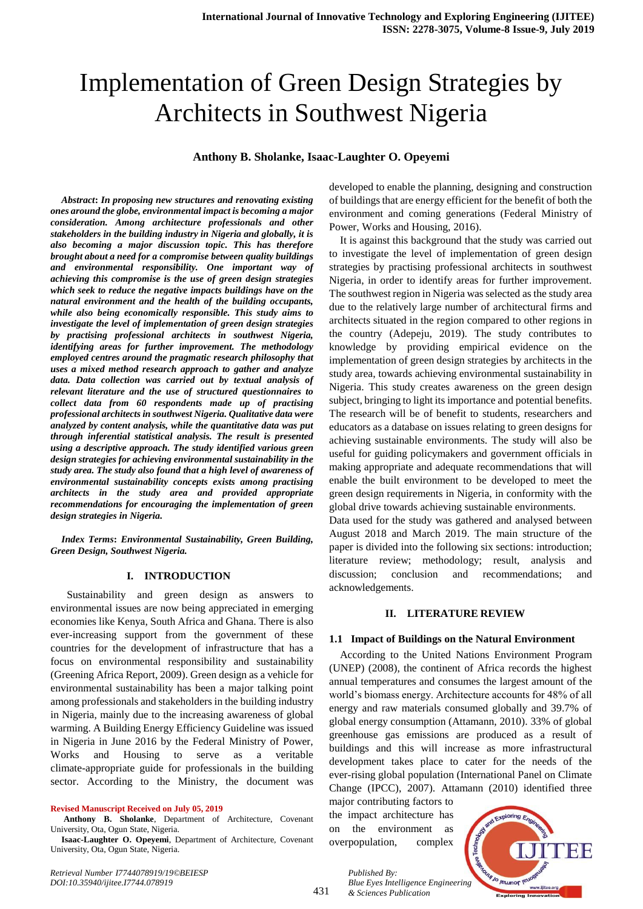# Implementation of Green Design Strategies by Architects in Southwest Nigeria

## **Anthony B. Sholanke, Isaac-Laughter O. Opeyemi**

*Abstract***:** *In proposing new structures and renovating existing ones around the globe, environmental impact is becoming a major consideration. Among architecture professionals and other stakeholders in the building industry in Nigeria and globally, it is also becoming a major discussion topic. This has therefore brought about a need for a compromise between quality buildings and environmental responsibility. One important way of achieving this compromise is the use of green design strategies which seek to reduce the negative impacts buildings have on the natural environment and the health of the building occupants, while also being economically responsible. This study aims to investigate the level of implementation of green design strategies by practising professional architects in southwest Nigeria, identifying areas for further improvement. The methodology employed centres around the pragmatic research philosophy that uses a mixed method research approach to gather and analyze data. Data collection was carried out by textual analysis of relevant literature and the use of structured questionnaires to collect data from 60 respondents made up of practising professional architects in southwest Nigeria. Qualitative data were analyzed by content analysis, while the quantitative data was put through inferential statistical analysis. The result is presented using a descriptive approach. The study identified various green design strategies for achieving environmental sustainability in the study area. The study also found that a high level of awareness of environmental sustainability concepts exists among practising architects in the study area and provided appropriate recommendations for encouraging the implementation of green design strategies in Nigeria.*

*Index Terms***:** *Environmental Sustainability, Green Building, Green Design, Southwest Nigeria.*

## **I. INTRODUCTION**

 Sustainability and green design as answers to environmental issues are now being appreciated in emerging economies like Kenya, South Africa and Ghana. There is also ever-increasing support from the government of these countries for the development of infrastructure that has a focus on environmental responsibility and sustainability (Greening Africa Report, 2009). Green design as a vehicle for environmental sustainability has been a major talking point among professionals and stakeholders in the building industry in Nigeria, mainly due to the increasing awareness of global warming. A Building Energy Efficiency Guideline was issued in Nigeria in June 2016 by the Federal Ministry of Power, Works and Housing to serve as a veritable climate-appropriate guide for professionals in the building sector. According to the Ministry, the document was

#### **Revised Manuscript Received on July 05, 2019**

**Isaac-Laughter O. Opeyemi**, Department of Architecture, Covenant University, Ota, Ogun State, Nigeria.

developed to enable the planning, designing and construction of buildings that are energy efficient for the benefit of both the environment and coming generations (Federal Ministry of Power, Works and Housing, 2016).

It is against this background that the study was carried out to investigate the level of implementation of green design strategies by practising professional architects in southwest Nigeria, in order to identify areas for further improvement. The southwest region in Nigeria was selected as the study area due to the relatively large number of architectural firms and architects situated in the region compared to other regions in the country (Adepeju, 2019). The study contributes to knowledge by providing empirical evidence on the implementation of green design strategies by architects in the study area, towards achieving environmental sustainability in Nigeria. This study creates awareness on the green design subject, bringing to light its importance and potential benefits. The research will be of benefit to students, researchers and educators as a database on issues relating to green designs for achieving sustainable environments. The study will also be useful for guiding policymakers and government officials in making appropriate and adequate recommendations that will enable the built environment to be developed to meet the green design requirements in Nigeria, in conformity with the global drive towards achieving sustainable environments.

Data used for the study was gathered and analysed between August 2018 and March 2019. The main structure of the paper is divided into the following six sections: introduction; literature review; methodology; result, analysis and discussion; conclusion and recommendations; and acknowledgements.

#### **II. LITERATURE REVIEW**

#### **1.1 Impact of Buildings on the Natural Environment**

According to the United Nations Environment Program (UNEP) (2008), the continent of Africa records the highest annual temperatures and consumes the largest amount of the world's biomass energy. Architecture accounts for 48% of all energy and raw materials consumed globally and 39.7% of global energy consumption (Attamann, 2010). 33% of global greenhouse gas emissions are produced as a result of buildings and this will increase as more infrastructural development takes place to cater for the needs of the ever-rising global population (International Panel on Climate Change (IPCC), 2007). Attamann (2010) identified three

major contributing factors to the impact architecture has on the environment as overpopulation, complex

*& Sciences Publication* 

*Published By:*



*Retrieval Number I7744078919/19©BEIESP DOI:10.35940/ijitee.I7744.078919*

**Anthony B. Sholanke**, Department of Architecture, Covenant University, Ota, Ogun State, Nigeria.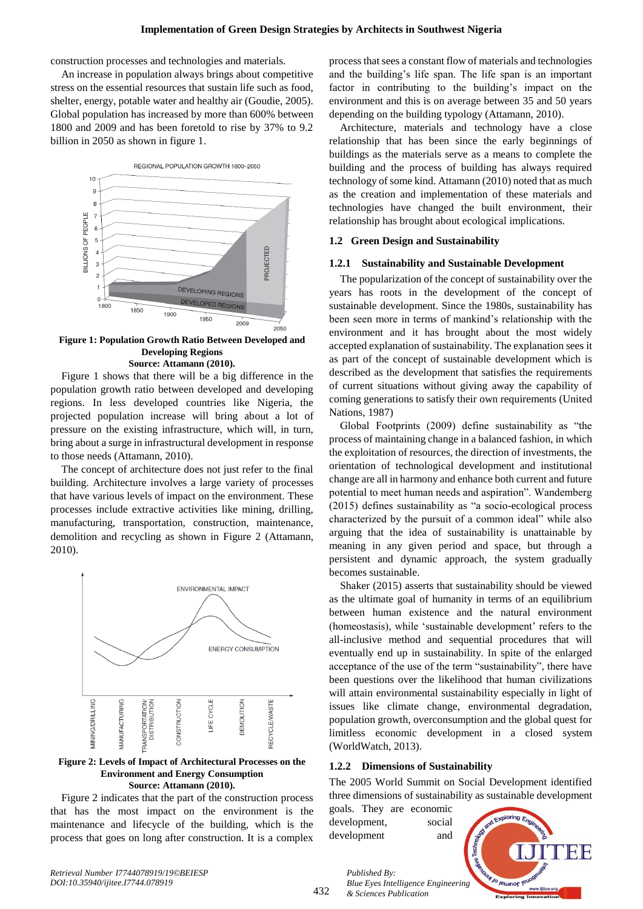construction processes and technologies and materials.

An increase in population always brings about competitive stress on the essential resources that sustain life such as food, shelter, energy, potable water and healthy air (Goudie, 2005). Global population has increased by more than 600% between 1800 and 2009 and has been foretold to rise by 37% to 9.2 billion in 2050 as shown in figure 1.



**Figure 1: Population Growth Ratio Between Developed and Developing Regions Source: Attamann (2010).**

Figure 1 shows that there will be a big difference in the population growth ratio between developed and developing regions. In less developed countries like Nigeria, the projected population increase will bring about a lot of pressure on the existing infrastructure, which will, in turn, bring about a surge in infrastructural development in response to those needs (Attamann, 2010).

The concept of architecture does not just refer to the final building. Architecture involves a large variety of processes that have various levels of impact on the environment. These processes include extractive activities like mining, drilling, manufacturing, transportation, construction, maintenance, demolition and recycling as shown in Figure 2 (Attamann, 2010).



**Figure 2: Levels of Impact of Architectural Processes on the Environment and Energy Consumption Source: Attamann (2010).**

Figure 2 indicates that the part of the construction process that has the most impact on the environment is the maintenance and lifecycle of the building, which is the process that goes on long after construction. It is a complex process that sees a constant flow of materials and technologies and the building's life span. The life span is an important factor in contributing to the building's impact on the environment and this is on average between 35 and 50 years depending on the building typology (Attamann, 2010).

Architecture, materials and technology have a close relationship that has been since the early beginnings of buildings as the materials serve as a means to complete the building and the process of building has always required technology of some kind. Attamann (2010) noted that as much as the creation and implementation of these materials and technologies have changed the built environment, their relationship has brought about ecological implications.

### **1.2 Green Design and Sustainability**

#### **1.2.1 Sustainability and Sustainable Development**

The popularization of the concept of sustainability over the years has roots in the development of the concept of sustainable development. Since the 1980s, sustainability has been seen more in terms of mankind's relationship with the environment and it has brought about the most widely accepted explanation of sustainability. The explanation sees it as part of the concept of sustainable development which is described as the development that satisfies the requirements of current situations without giving away the capability of coming generations to satisfy their own requirements (United Nations, 1987)

Global Footprints (2009) define sustainability as "the process of maintaining change in a balanced fashion, in which the exploitation of resources, the direction of investments, the orientation of technological development and institutional change are all in harmony and enhance both current and future potential to meet human needs and aspiration". Wandemberg (2015) defines sustainability as "a socio-ecological process characterized by the pursuit of a common ideal" while also arguing that the idea of sustainability is unattainable by meaning in any given period and space, but through a persistent and dynamic approach, the system gradually becomes sustainable.

Shaker (2015) asserts that sustainability should be viewed as the ultimate goal of humanity in terms of an equilibrium between human existence and the natural environment (homeostasis), while 'sustainable development' refers to the all-inclusive method and sequential procedures that will eventually end up in sustainability. In spite of the enlarged acceptance of the use of the term "sustainability", there have been questions over the likelihood that human civilizations will attain environmental sustainability especially in light of issues like climate change, environmental degradation, population growth, overconsumption and the global quest for limitless economic development in a closed system (WorldWatch, 2013).

#### **1.2.2 Dimensions of Sustainability**

The 2005 World Summit on Social Development identified three dimensions of sustainability as sustainable development

goals. They are economic development, social development and

*& Sciences Publication* 

*Published By:*

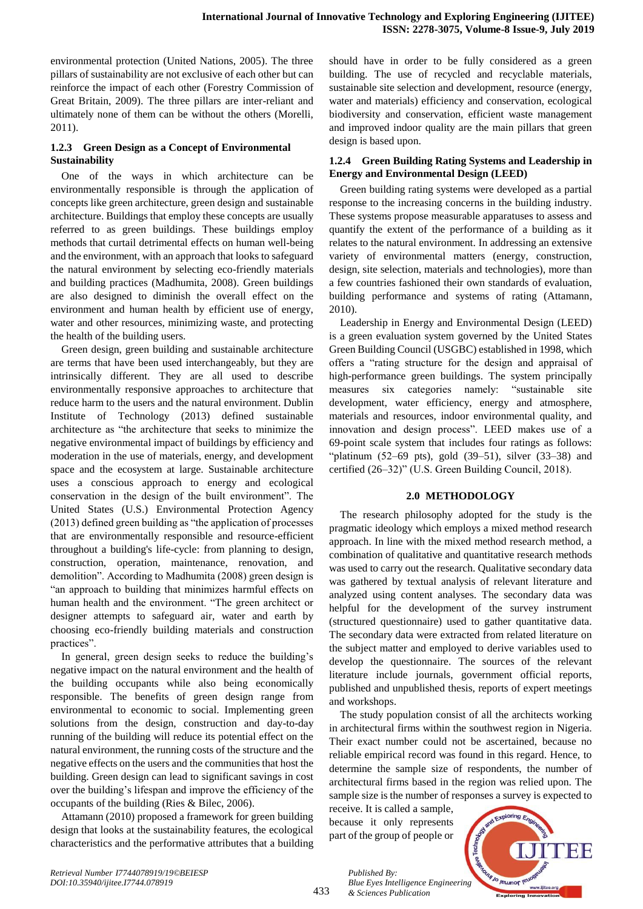environmental protection (United Nations, 2005). The three pillars of sustainability are not exclusive of each other but can reinforce the impact of each other (Forestry Commission of Great Britain, 2009). The three pillars are inter-reliant and ultimately none of them can be without the others (Morelli, 2011).

# **1.2.3 Green Design as a Concept of Environmental Sustainability**

One of the ways in which architecture can be environmentally responsible is through the application of concepts like green architecture, green design and sustainable architecture. Buildings that employ these concepts are usually referred to as green buildings. These buildings employ methods that curtail detrimental effects on human well-being and the environment, with an approach that looks to safeguard the natural environment by selecting eco-friendly materials and building practices (Madhumita, 2008). Green buildings are also designed to diminish the overall effect on the environment and human health by efficient use of energy, water and other resources, minimizing waste, and protecting the health of the building users.

Green design, green building and sustainable architecture are terms that have been used interchangeably, but they are intrinsically different. They are all used to describe environmentally responsive approaches to architecture that reduce harm to the users and the natural environment. Dublin Institute of Technology (2013) defined sustainable architecture as "the architecture that seeks to minimize the negative environmental impact of buildings by efficiency and moderation in the use of materials, energy, and development space and the ecosystem at large. Sustainable architecture uses a conscious approach to energy and ecological conservation in the design of the built environment". The United States (U.S.) Environmental Protection Agency (2013) defined green building as "the application of processes that are environmentally responsible and resource-efficient throughout a building's life-cycle: from planning to design, construction, operation, maintenance, renovation, and demolition". According to Madhumita (2008) green design is "an approach to building that minimizes harmful effects on human health and the environment. "The green architect or designer attempts to safeguard air, water and earth by choosing eco-friendly building materials and construction practices".

In general, green design seeks to reduce the building's negative impact on the natural environment and the health of the building occupants while also being economically responsible. The benefits of green design range from environmental to economic to social. Implementing green solutions from the design, construction and day-to-day running of the building will reduce its potential effect on the natural environment, the running costs of the structure and the negative effects on the users and the communities that host the building. Green design can lead to significant savings in cost over the building's lifespan and improve the efficiency of the occupants of the building (Ries & Bilec, 2006).

Attamann (2010) proposed a framework for green building design that looks at the sustainability features, the ecological characteristics and the performative attributes that a building

should have in order to be fully considered as a green building. The use of recycled and recyclable materials, sustainable site selection and development, resource (energy, water and materials) efficiency and conservation, ecological biodiversity and conservation, efficient waste management and improved indoor quality are the main pillars that green design is based upon.

# **1.2.4 Green Building Rating Systems and Leadership in Energy and Environmental Design (LEED)**

Green building rating systems were developed as a partial response to the increasing concerns in the building industry. These systems propose measurable apparatuses to assess and quantify the extent of the performance of a building as it relates to the natural environment. In addressing an extensive variety of environmental matters (energy, construction, design, site selection, materials and technologies), more than a few countries fashioned their own standards of evaluation, building performance and systems of rating (Attamann, 2010).

Leadership in Energy and Environmental Design (LEED) is a green evaluation system governed by the United States Green Building Council (USGBC) established in 1998, which offers a "rating structure for the design and appraisal of high-performance green buildings. The system principally measures six categories namely: "sustainable site development, water efficiency, energy and atmosphere, materials and resources, indoor environmental quality, and innovation and design process". LEED makes use of a 69-point scale system that includes four ratings as follows: "platinum  $(52-69$  pts), gold  $(39-51)$ , silver  $(33-38)$  and certified (26–32)" (U.S. Green Building Council, 2018).

# **2.0 METHODOLOGY**

The research philosophy adopted for the study is the pragmatic ideology which employs a mixed method research approach. In line with the mixed method research method, a combination of qualitative and quantitative research methods was used to carry out the research. Qualitative secondary data was gathered by textual analysis of relevant literature and analyzed using content analyses. The secondary data was helpful for the development of the survey instrument (structured questionnaire) used to gather quantitative data. The secondary data were extracted from related literature on the subject matter and employed to derive variables used to develop the questionnaire. The sources of the relevant literature include journals, government official reports, published and unpublished thesis, reports of expert meetings and workshops.

The study population consist of all the architects working in architectural firms within the southwest region in Nigeria. Their exact number could not be ascertained, because no reliable empirical record was found in this regard. Hence, to determine the sample size of respondents, the number of architectural firms based in the region was relied upon. The sample size is the number of responses a survey is expected to

receive. It is called a sample, because it only represents part of the group of people or

*& Sciences Publication* 

*Published By:*



433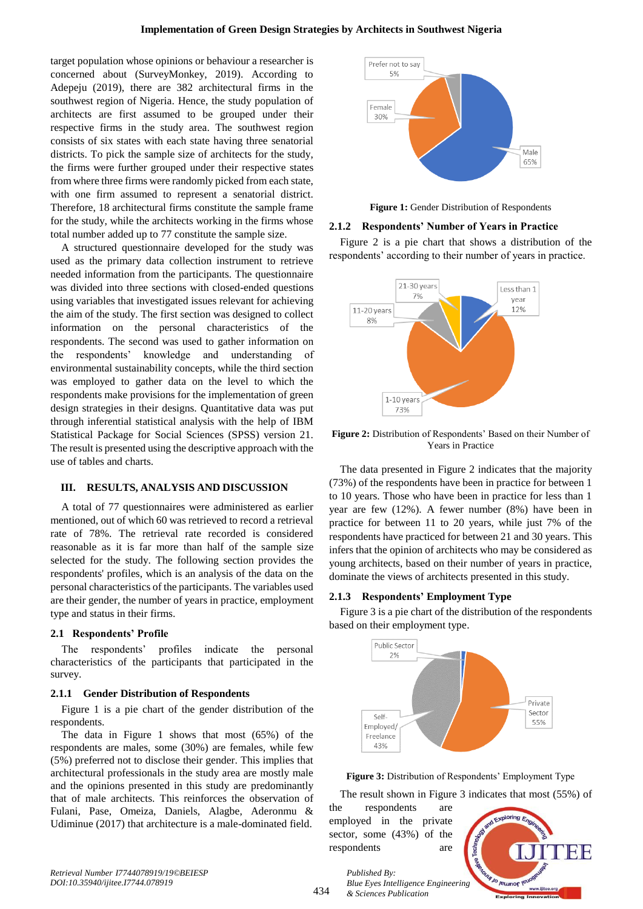target population whose opinions or behaviour a researcher is concerned about (SurveyMonkey, 2019). According to Adepeju (2019), there are 382 architectural firms in the southwest region of Nigeria. Hence, the study population of architects are first assumed to be grouped under their respective firms in the study area. The southwest region consists of six states with each state having three senatorial districts. To pick the sample size of architects for the study, the firms were further grouped under their respective states from where three firms were randomly picked from each state, with one firm assumed to represent a senatorial district. Therefore, 18 architectural firms constitute the sample frame for the study, while the architects working in the firms whose total number added up to 77 constitute the sample size.

A structured questionnaire developed for the study was used as the primary data collection instrument to retrieve needed information from the participants. The questionnaire was divided into three sections with closed-ended questions using variables that investigated issues relevant for achieving the aim of the study. The first section was designed to collect information on the personal characteristics of the respondents. The second was used to gather information on the respondents' knowledge and understanding of environmental sustainability concepts, while the third section was employed to gather data on the level to which the respondents make provisions for the implementation of green design strategies in their designs. Quantitative data was put through inferential statistical analysis with the help of IBM Statistical Package for Social Sciences (SPSS) version 21. The result is presented using the descriptive approach with the use of tables and charts.

### **III. RESULTS, ANALYSIS AND DISCUSSION**

A total of 77 questionnaires were administered as earlier mentioned, out of which 60 was retrieved to record a retrieval rate of 78%. The retrieval rate recorded is considered reasonable as it is far more than half of the sample size selected for the study. The following section provides the respondents' profiles, which is an analysis of the data on the personal characteristics of the participants. The variables used are their gender, the number of years in practice, employment type and status in their firms.

### **2.1 Respondents' Profile**

The respondents' profiles indicate the personal characteristics of the participants that participated in the survey.

### **2.1.1 Gender Distribution of Respondents**

Figure 1 is a pie chart of the gender distribution of the respondents.

The data in Figure 1 shows that most (65%) of the respondents are males, some (30%) are females, while few (5%) preferred not to disclose their gender. This implies that architectural professionals in the study area are mostly male and the opinions presented in this study are predominantly that of male architects. This reinforces the observation of Fulani, Pase, Omeiza, Daniels, Alagbe, Aderonmu & Udiminue (2017) that architecture is a male-dominated field.



**Figure 1:** Gender Distribution of Respondents

#### **2.1.2 Respondents' Number of Years in Practice**

Figure 2 is a pie chart that shows a distribution of the respondents' according to their number of years in practice.



**Figure 2:** Distribution of Respondents' Based on their Number of Years in Practice

The data presented in Figure 2 indicates that the majority (73%) of the respondents have been in practice for between 1 to 10 years. Those who have been in practice for less than 1 year are few (12%). A fewer number (8%) have been in practice for between 11 to 20 years, while just 7% of the respondents have practiced for between 21 and 30 years. This infers that the opinion of architects who may be considered as young architects, based on their number of years in practice, dominate the views of architects presented in this study.

### **2.1.3 Respondents' Employment Type**

Figure 3 is a pie chart of the distribution of the respondents based on their employment type.



**Figure 3:** Distribution of Respondents' Employment Type

The result shown in Figure 3 indicates that most (55%) of

the respondents are employed in the private sector, some (43%) of the respondents are

*Published By:*

*& Sciences Publication* 



*Retrieval Number I7744078919/19©BEIESP DOI:10.35940/ijitee.I7744.078919*

434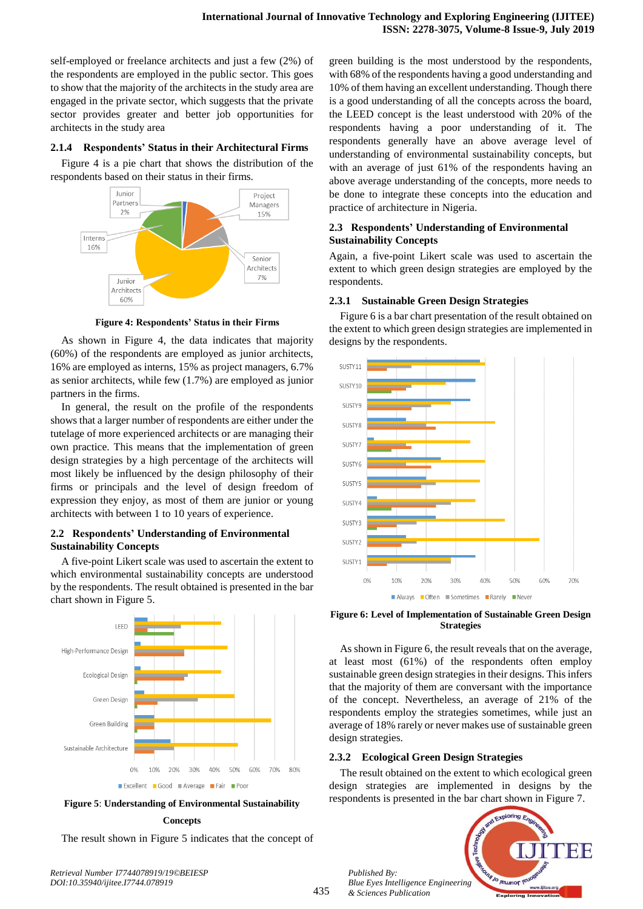self-employed or freelance architects and just a few (2%) of the respondents are employed in the public sector. This goes to show that the majority of the architects in the study area are engaged in the private sector, which suggests that the private sector provides greater and better job opportunities for architects in the study area

## **2.1.4 Respondents' Status in their Architectural Firms**

Figure 4 is a pie chart that shows the distribution of the respondents based on their status in their firms.



**Figure 4: Respondents' Status in their Firms**

As shown in Figure 4, the data indicates that majority (60%) of the respondents are employed as junior architects, 16% are employed as interns, 15% as project managers, 6.7% as senior architects, while few (1.7%) are employed as junior partners in the firms.

In general, the result on the profile of the respondents shows that a larger number of respondents are either under the tutelage of more experienced architects or are managing their own practice. This means that the implementation of green design strategies by a high percentage of the architects will most likely be influenced by the design philosophy of their firms or principals and the level of design freedom of expression they enjoy, as most of them are junior or young architects with between 1 to 10 years of experience.

# **2.2 Respondents' Understanding of Environmental Sustainability Concepts**

A five-point Likert scale was used to ascertain the extent to which environmental sustainability concepts are understood by the respondents. The result obtained is presented in the bar chart shown in Figure 5.



**Figure 5**: **Understanding of Environmental Sustainability** 

#### **Concepts**

The result shown in Figure 5 indicates that the concept of

*Retrieval Number I7744078919/19©BEIESP DOI:10.35940/ijitee.I7744.078919*

green building is the most understood by the respondents, with 68% of the respondents having a good understanding and 10% of them having an excellent understanding. Though there is a good understanding of all the concepts across the board, the LEED concept is the least understood with 20% of the respondents having a poor understanding of it. The respondents generally have an above average level of understanding of environmental sustainability concepts, but with an average of just 61% of the respondents having an above average understanding of the concepts, more needs to be done to integrate these concepts into the education and practice of architecture in Nigeria.

# **2.3 Respondents' Understanding of Environmental Sustainability Concepts**

Again, a five-point Likert scale was used to ascertain the extent to which green design strategies are employed by the respondents.

## **2.3.1 Sustainable Green Design Strategies**

Figure 6 is a bar chart presentation of the result obtained on the extent to which green design strategies are implemented in designs by the respondents.



**Figure 6: Level of Implementation of Sustainable Green Design Strategies**

As shown in Figure 6, the result reveals that on the average, at least most (61%) of the respondents often employ sustainable green design strategies in their designs. This infers that the majority of them are conversant with the importance of the concept. Nevertheless, an average of 21% of the respondents employ the strategies sometimes, while just an average of 18% rarely or never makes use of sustainable green design strategies.

# **2.3.2 Ecological Green Design Strategies**

The result obtained on the extent to which ecological green design strategies are implemented in designs by the respondents is presented in the bar chart shown in Figure 7.



*Published By: Blue Eyes Intelligence Engineering & Sciences Publication*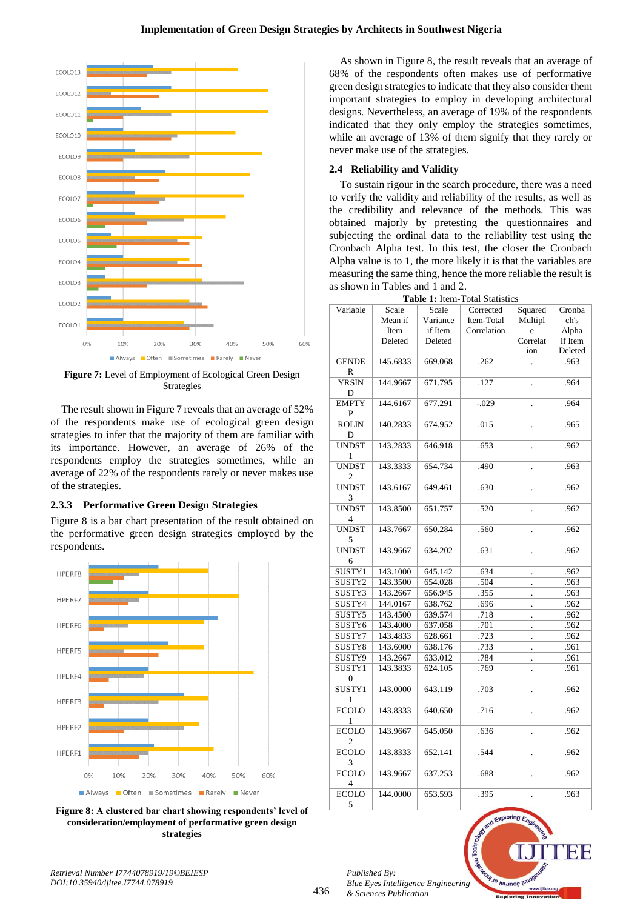

**Figure 7:** Level of Employment of Ecological Green Design Strategies

The result shown in Figure 7 reveals that an average of 52% of the respondents make use of ecological green design strategies to infer that the majority of them are familiar with its importance. However, an average of 26% of the respondents employ the strategies sometimes, while an average of 22% of the respondents rarely or never makes use of the strategies.

# **2.3.3 Performative Green Design Strategies**

Figure 8 is a bar chart presentation of the result obtained on the performative green design strategies employed by the respondents.



**Figure 8: A clustered bar chart showing respondents' level of consideration/employment of performative green design strategies**

As shown in Figure 8, the result reveals that an average of 68% of the respondents often makes use of performative green design strategies to indicate that they also consider them important strategies to employ in developing architectural designs. Nevertheless, an average of 19% of the respondents indicated that they only employ the strategies sometimes, while an average of 13% of them signify that they rarely or never make use of the strategies.

# **2.4 Reliability and Validity**

To sustain rigour in the search procedure, there was a need to verify the validity and reliability of the results, as well as the credibility and relevance of the methods. This was obtained majorly by pretesting the questionnaires and subjecting the ordinal data to the reliability test using the Cronbach Alpha test. In this test, the closer the Cronbach Alpha value is to 1, the more likely it is that the variables are measuring the same thing, hence the more reliable the result is as shown in Tables and 1 and 2.

| Variable                       | Scale    | Scale    | Corrected   | Squared              | Cronba  |
|--------------------------------|----------|----------|-------------|----------------------|---------|
|                                | Mean if  | Variance | Item-Total  | Multipl              | ch's    |
|                                | Item     | if Item  | Correlation | e                    | Alpha   |
|                                | Deleted  | Deleted  |             | Correlat             | if Item |
|                                |          |          |             | ion                  | Deleted |
| <b>GENDE</b><br>R              | 145.6833 | 669.068  | .262        |                      | .963    |
| <b>YRSIN</b><br>D              | 144.9667 | 671.795  | .127        |                      | .964    |
| <b>EMPTY</b><br>P              | 144.6167 | 677.291  | $-.029$     |                      | .964    |
| <b>ROLIN</b><br>D              | 140.2833 | 674.952  | .015        |                      | .965    |
| <b>UNDST</b><br>1              | 143.2833 | 646.918  | .653        |                      | .962    |
| <b>UNDST</b><br>$\overline{c}$ | 143.3333 | 654.734  | .490        | $\ddot{\phantom{0}}$ | .963    |
| <b>UNDST</b><br>3              | 143.6167 | 649.461  | .630        | $\ddot{\phantom{0}}$ | .962    |
| <b>UNDST</b><br>$\overline{4}$ | 143.8500 | 651.757  | .520        | $\cdot$              | .962    |
| <b>UNDST</b><br>5              | 143.7667 | 650.284  | .560        | $\ddot{\phantom{0}}$ | .962    |
| <b>UNDST</b><br>6              | 143.9667 | 634.202  | .631        |                      | .962    |
| SUSTY1                         | 143.1000 | 645.142  | .634        |                      | .962    |
| SUSTY2                         | 143.3500 | 654.028  | .504        | $\cdot$              | .963    |
| SUSTY3                         | 143.2667 | 656.945  | .355        |                      | .963    |
| SUSTY4                         | 144.0167 | 638.762  | .696        | $\ddot{\phantom{0}}$ | .962    |
| SUSTY5                         | 143.4500 | 639.574  | .718        | $\ddot{\phantom{0}}$ | .962    |
| SUSTY6                         | 143.4000 | 637.058  | .701        |                      | .962    |
| SUSTY7                         | 143.4833 | 628.661  | .723        | $\ddot{\phantom{0}}$ | .962    |
| SUSTY8                         | 143.6000 | 638.176  | .733        |                      | .961    |
| SUSTY9                         | 143.2667 | 633.012  | .784        | $\ddot{\phantom{0}}$ | .961    |
| SUSTY1<br>$\boldsymbol{0}$     | 143.3833 | 624.105  | .769        |                      | .961    |
| SUSTY1<br>1                    | 143.0000 | 643.119  | .703        | $\ddot{\phantom{0}}$ | .962    |
| <b>ECOLO</b><br>1              | 143.8333 | 640.650  | .716        | $\ddot{\phantom{0}}$ | .962    |
| <b>ECOLO</b><br>2              | 143.9667 | 645.050  | .636        | $\ddot{\phantom{0}}$ | .962    |
| <b>ECOLO</b><br>3              | 143.8333 | 652.141  | .544        | $\ddot{\phantom{0}}$ | .962    |
| <b>ECOLO</b><br>4              | 143.9667 | 637.253  | .688        |                      | .962    |
| <b>ECOLO</b><br>5              | 144.0000 | 653.593  | .395        |                      | .963    |

**Table 1:** Item-Total Statistics

*Published By: Blue Eyes Intelligence Engineering & Sciences Publication* 

**V<sub>1 Jo</sub>** Jeunor IV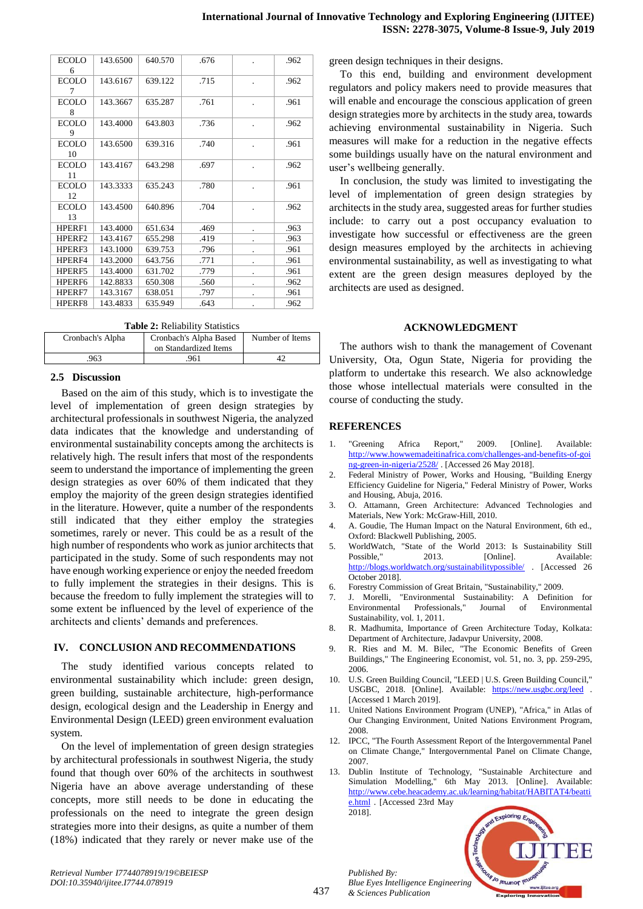| <b>ECOLO</b><br>6  | 143.6500 | 640.570 | .676 |   | .962 |
|--------------------|----------|---------|------|---|------|
| <b>ECOLO</b><br>7  | 143.6167 | 639.122 | .715 |   | .962 |
| <b>ECOLO</b><br>8  | 143.3667 | 635.287 | .761 |   | .961 |
| <b>ECOLO</b><br>9  | 143.4000 | 643.803 | .736 |   | .962 |
| <b>ECOLO</b><br>10 | 143.6500 | 639.316 | .740 |   | .961 |
| <b>ECOLO</b><br>11 | 143.4167 | 643.298 | .697 |   | .962 |
| <b>ECOLO</b><br>12 | 143.3333 | 635.243 | .780 |   | .961 |
| <b>ECOLO</b><br>13 | 143.4500 | 640.896 | .704 |   | .962 |
| HPERF1             | 143.4000 | 651.634 | .469 |   | .963 |
| HPERF2             | 143.4167 | 655.298 | .419 |   | .963 |
| HPERF3             | 143.1000 | 639.753 | .796 |   | .961 |
| HPERF4             | 143.2000 | 643.756 | .771 |   | .961 |
| HPERF5             | 143.4000 | 631.702 | .779 | ٠ | .961 |
| HPERF <sub>6</sub> | 142.8833 | 650.308 | .560 |   | .962 |
| HPERF7             | 143.3167 | 638.051 | .797 |   | .961 |
| HPERF8             | 143.4833 | 635.949 | .643 |   | .962 |

**Table 2:** Reliability Statistics

| Cronbach's Alpha | Cronbach's Alpha Based<br>on Standardized Items | Number of Items |  |  |  |  |  |
|------------------|-------------------------------------------------|-----------------|--|--|--|--|--|
| 963              | 961                                             |                 |  |  |  |  |  |

### **2.5 Discussion**

Based on the aim of this study, which is to investigate the level of implementation of green design strategies by architectural professionals in southwest Nigeria, the analyzed data indicates that the knowledge and understanding of environmental sustainability concepts among the architects is relatively high. The result infers that most of the respondents seem to understand the importance of implementing the green design strategies as over 60% of them indicated that they employ the majority of the green design strategies identified in the literature. However, quite a number of the respondents still indicated that they either employ the strategies sometimes, rarely or never. This could be as a result of the high number of respondents who work as junior architects that participated in the study. Some of such respondents may not have enough working experience or enjoy the needed freedom to fully implement the strategies in their designs. This is because the freedom to fully implement the strategies will to some extent be influenced by the level of experience of the architects and clients' demands and preferences.

### **IV. CONCLUSION AND RECOMMENDATIONS**

The study identified various concepts related to environmental sustainability which include: green design, green building, sustainable architecture, high-performance design, ecological design and the Leadership in Energy and Environmental Design (LEED) green environment evaluation system.

On the level of implementation of green design strategies by architectural professionals in southwest Nigeria, the study found that though over 60% of the architects in southwest Nigeria have an above average understanding of these concepts, more still needs to be done in educating the professionals on the need to integrate the green design strategies more into their designs, as quite a number of them (18%) indicated that they rarely or never make use of the green design techniques in their designs.

To this end, building and environment development regulators and policy makers need to provide measures that will enable and encourage the conscious application of green design strategies more by architects in the study area, towards achieving environmental sustainability in Nigeria. Such measures will make for a reduction in the negative effects some buildings usually have on the natural environment and user's wellbeing generally.

In conclusion, the study was limited to investigating the level of implementation of green design strategies by architects in the study area, suggested areas for further studies include: to carry out a post occupancy evaluation to investigate how successful or effectiveness are the green design measures employed by the architects in achieving environmental sustainability, as well as investigating to what extent are the green design measures deployed by the architects are used as designed.

## **ACKNOWLEDGMENT**

The authors wish to thank the management of Covenant University, Ota, Ogun State, Nigeria for providing the platform to undertake this research. We also acknowledge those whose intellectual materials were consulted in the course of conducting the study*.*

## **REFERENCES**

- 1. "Greening Africa Report," 2009. [Online]. Available: [http://www.howwemadeitinafrica.com/challenges-and-benefits-of-goi](http://www.howwemadeitinafrica.com/challenges-and-benefits-of-going-green-in-nigeria/2528/) [ng-green-in-nigeria/2528/](http://www.howwemadeitinafrica.com/challenges-and-benefits-of-going-green-in-nigeria/2528/) . [Accessed 26 May 2018].
- 2. Federal Ministry of Power, Works and Housing, "Building Energy Efficiency Guideline for Nigeria," Federal Ministry of Power, Works and Housing, Abuja, 2016.
- 3. O. Attamann, Green Architecture: Advanced Technologies and Materials, New York: McGraw-Hill, 2010.
- 4. A. Goudie, The Human Impact on the Natural Environment, 6th ed., Oxford: Blackwell Publishing, 2005.
- 5. WorldWatch, "State of the World 2013: Is Sustainability Still Possible," 2013. [Online]. Available: <http://blogs.worldwatch.org/sustainabilitypossible/> . [Accessed 26 October 2018].
- 6. Forestry Commission of Great Britain, "Sustainability," 2009.
- 7. J. Morelli, "Environmental Sustainability: A Definition for Environmental Professionals," Journal of Environmental Sustainability, vol. 1, 2011.
- 8. R. Madhumita, Importance of Green Architecture Today, Kolkata: Department of Architecture, Jadavpur University, 2008.
- 9. R. Ries and M. M. Bilec, "The Economic Benefits of Green Buildings," The Engineering Economist, vol. 51, no. 3, pp. 259-295, 2006.
- 10. U.S. Green Building Council, "LEED | U.S. Green Building Council," USGBC, 2018. [Online]. Available: <https://new.usgbc.org/leed> . [Accessed 1 March 2019].
- 11. United Nations Environment Program (UNEP), "Africa," in Atlas of Our Changing Environment, United Nations Environment Program, 2008.
- 12. IPCC, "The Fourth Assessment Report of the Intergovernmental Panel on Climate Change," Intergovernmental Panel on Climate Change, 2007.
- 13. Dublin Institute of Technology, "Sustainable Architecture and Simulation Modelling," 6th May 2013. [Online]. Available: [http://www.cebe.heacademy.ac.uk/learning/habitat/HABITAT4/beatti](http://www.cebe.heacademy.ac.uk/learning/habitat/HABITAT4/beattie.html) [e.html](http://www.cebe.heacademy.ac.uk/learning/habitat/HABITAT4/beattie.html) . [Accessed 23rd May 2018].



*Blue Eyes Intelligence Engineering & Sciences Publication* 

437